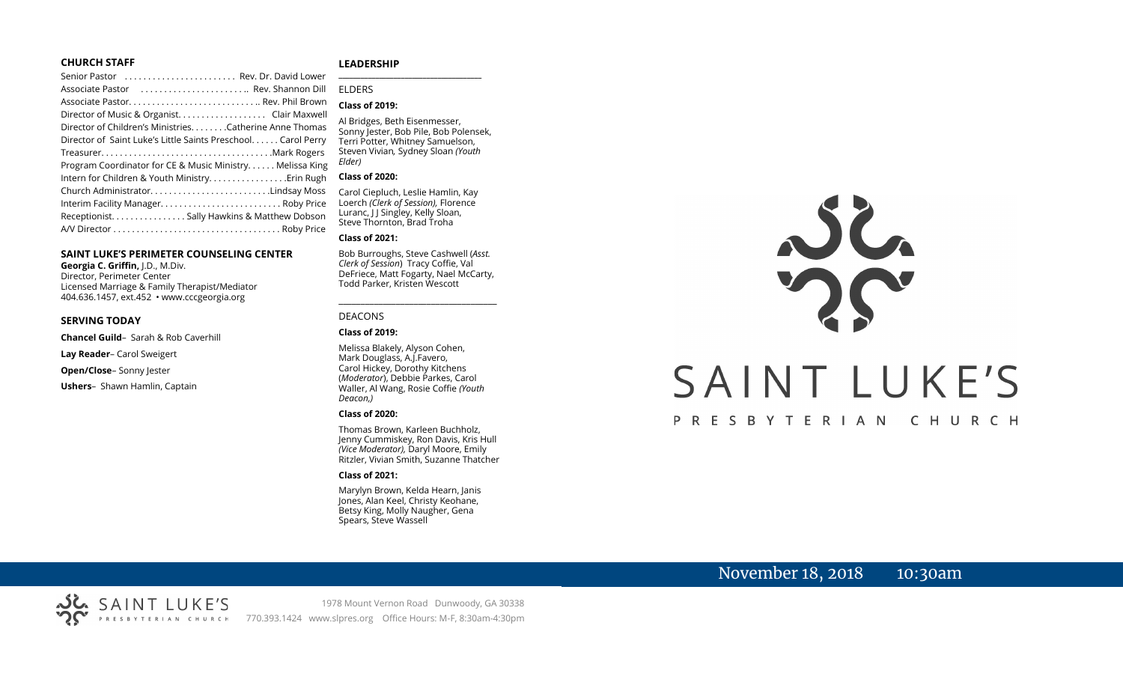#### **CHURCH STAFF**

| Senior Pastor  Rev. Dr. David Lower                          |
|--------------------------------------------------------------|
| Associate Pastor  Rev. Shannon Dill                          |
|                                                              |
| Director of Music & Organist. Clair Maxwell                  |
| Director of Children's Ministries. Catherine Anne Thomas     |
| Director of Saint Luke's Little Saints Preschool Carol Perry |
|                                                              |
| Program Coordinator for CE & Music Ministry Melissa King     |
| Intern for Children & Youth Ministry. Erin Rugh              |
| Church AdministratorLindsay Moss                             |
| Interim Facility Manager Roby Price                          |
| Receptionist. Sally Hawkins & Matthew Dobson                 |
|                                                              |

#### **SAINT LUKE'S PERIMETER COUNSELING CENTER**

**Georgia C. Griffin,** J.D., M.Div. Director, Perimeter Center Licensed Marriage & Family Therapist/Mediator 404.636.1457, ext.452 • www.cccgeorgia.org

#### **SERVING TODAY**

**Chancel Guild**– Sarah & Rob Caverhill

**Lay Reader**– Carol Sweigert

**Open/Close**– Sonny Jester

**Ushers**–Shawn Hamlin, Captain

#### **LEADERSHIP**

#### ELDERS

#### **Class of 2019:**

Al Bridges, Beth Eisenmesser, Sonny Jester, Bob Pile, Bob Polensek, Terri Potter, Whitney Samuelson, Steven Vivian*,* Sydney Sloan *(Youth Elder)*

**\_\_\_\_\_\_\_\_\_\_\_\_\_\_\_\_\_\_\_\_\_\_\_\_\_\_\_\_\_\_\_\_\_\_\_\_\_\_\_**

#### **Class of 2020:**

Carol Ciepluch, Leslie Hamlin, Kay Loerch *(Clerk of Session),* Florence Luranc, I J Singley, Kelly Sloan, Steve Thornton, Brad Troha

#### **Class of 2021:**

Bob Burroughs, Steve Cashwell (*Asst. Clerk of Session*) Tracy Coffie, Val DeFriece, Matt Fogarty, Nael McCarty, Todd Parker, Kristen Wescott

\_\_\_\_\_\_\_\_\_\_\_\_\_\_\_\_\_\_\_\_\_\_\_\_\_\_\_\_\_\_\_\_\_\_\_\_

#### DEACONS

#### **Class of 2019:**

Melissa Blakely, Alyson Cohen, Mark Douglass, A.J.Favero, Carol Hickey, Dorothy Kitchens (*Moderator*), Debbie Parkes, Carol Waller, Al Wang, Rosie Coffie *(Youth Deacon,)* 

#### **Class of 2020:**

Thomas Brown, Karleen Buchholz, Jenny Cummiskey, Ron Davis, Kris Hull *(Vice Moderator),* Daryl Moore, Emily Ritzler, Vivian Smith, Suzanne Thatcher

#### **Class of 2021:**

Marylyn Brown, Kelda Hearn, Janis Jones, Alan Keel, Christy Keohane, Betsy King, Molly Naugher, Gena Spears, Steve Wassell

# JL. SAINT LUKE'S

### PRESBYTERIAN CHURCH

# November 18, 2018 10:30am

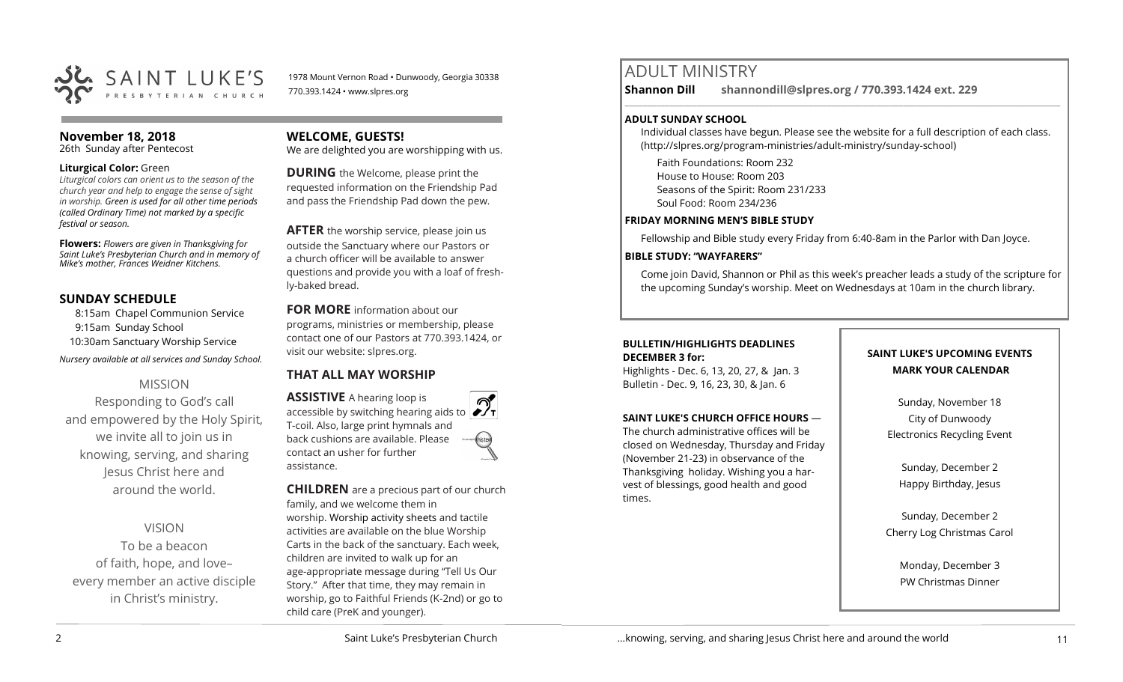

1978 Mount Vernon Road • Dunwoody, Georgia 30338 770.393.1424 • www.slpres.org

#### **November 18, 2018**

26th Sunday after Pentecost

#### **Liturgical Color:** Green

*Liturgical colors can orient us to the season of the church year and help to engage the sense of sight in worship. Green is used for all other time periods (called Ordinary Time) not marked by a specific festival or season.*

**Flowers:** *Flowers are given in Thanksgiving for Saint Luke's Presbyterian Church and in memory of Mike's mother, Frances Weidner Kitchens.*

#### **SUNDAY SCHEDULE**

8:15am Chapel Communion Service 9:15am Sunday School 10:30am Sanctuary Worship Service *Nursery available at all services and Sunday School.* 

#### MISSION

Responding to God's call and empowered by the Holy Spirit, we invite all to join us in knowing, serving, and sharing Jesus Christ here and around the world.

#### VISION

To be a beacon of faith, hope, and love– every member an active disciple in Christ's ministry.

#### **WELCOME, GUESTS!**

We are delighted you are worshipping with us.

**DURING** the Welcome, please print the requested information on the Friendship Pad and pass the Friendship Pad down the pew.

**AFTER** the worship service, please join us outside the Sanctuary where our Pastors or a church officer will be available to answer questions and provide you with a loaf of freshly-baked bread.

**FOR MORE** information about our programs, ministries or membership, please contact one of our Pastors at 770.393.1424, or visit our website: slpres.org.

#### **THAT ALL MAY WORSHIP**

**ASSISTIVE** A hearing loop is accessible by switching hearing aids to T-coil. Also, large print hymnals and back cushions are available. Please contact an usher for further assistance.

**CHILDREN** are a precious part of our church family, and we welcome them in worship. Worship activity sheets and tactile activities are available on the blue Worship Carts in the back of the sanctuary. Each week, children are invited to walk up for an age-appropriate message during "Tell Us Our Story." After that time, they may remain in worship, go to Faithful Friends (K-2nd) or go to child care (PreK and younger).

# ADULT MINISTRY

**Shannon Dill shannondill@slpres.org / 770.393.1424 ext. 229** 

#### **ADULT SUNDAY SCHOOL**

Individual classes have begun. Please see the website for a full description of each class. (http://slpres.org/program-ministries/adult-ministry/sunday-school)

 $\_$  ,  $\_$  ,  $\_$  ,  $\_$  ,  $\_$  ,  $\_$  ,  $\_$  ,  $\_$  ,  $\_$  ,  $\_$  ,  $\_$  ,  $\_$  ,  $\_$  ,  $\_$  ,  $\_$  ,  $\_$  ,  $\_$  ,  $\_$  ,  $\_$  ,  $\_$ 

Faith Foundations: Room 232 House to House: Room 203 Seasons of the Spirit: Room 231/233 Soul Food: Room 234/236

#### **FRIDAY MORNING MEN'S BIBLE STUDY**

Fellowship and Bible study every Friday from 6:40-8am in the Parlor with Dan Joyce.

#### **BIBLE STUDY: "WAYFARERS"**

Come join David, Shannon or Phil as this week's preacher leads a study of the scripture for the upcoming Sunday's worship. Meet on Wednesdays at 10am in the church library.

#### **BULLETIN/HIGHLIGHTS DEADLINES DECEMBER 3 for:**

Highlights - Dec. 6, 13, 20, 27, & Jan. 3 Bulletin - Dec. 9, 16, 23, 30, & Jan. 6

#### **SAINT LUKE'S CHURCH OFFICE HOURS** —

The church administrative offices will be closed on Wednesday, Thursday and Friday (November 21-23) in observance of the Thanksgiving holiday. Wishing you a harvest of blessings, good health and good times.

#### **SAINT LUKE'S UPCOMING EVENTS MARK YOUR CALENDAR**

Sunday, November 18 City of Dunwoody Electronics Recycling Event

Sunday, December 2 Happy Birthday, Jesus

Sunday, December 2 Cherry Log Christmas Carol

> Monday, December 3 PW Christmas Dinner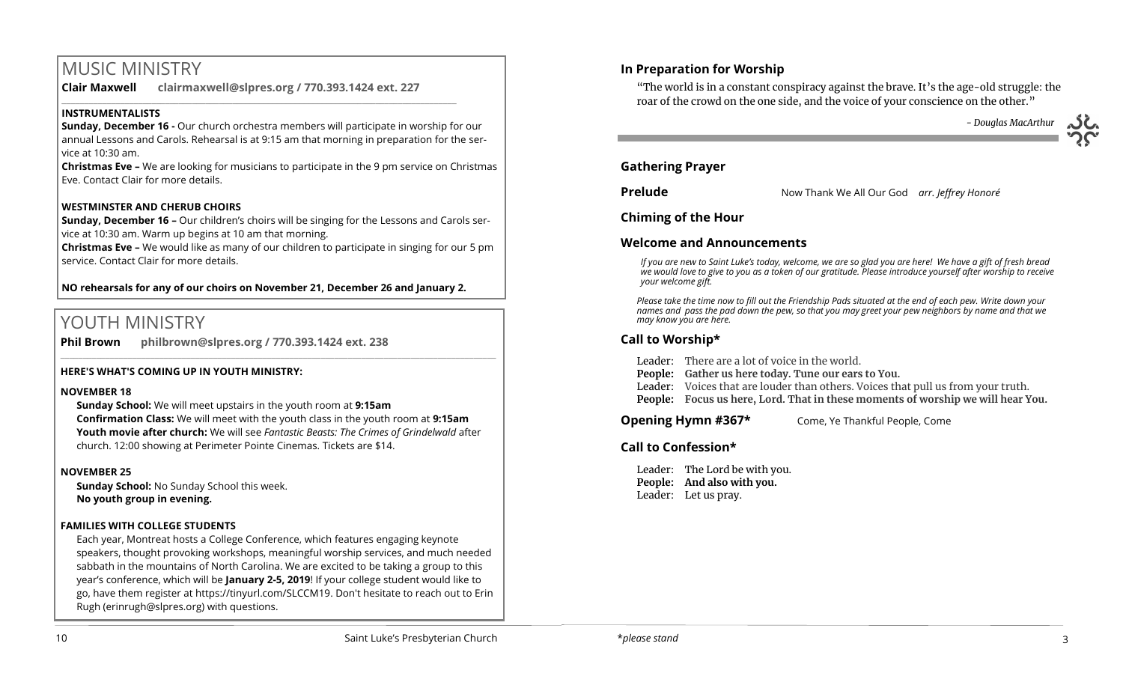# MUSIC MINISTRY

**Clair Maxwell clairmaxwell@slpres.org / 770.393.1424 ext. 227** 

 $\_$  , and the set of the set of the set of the set of the set of the set of the set of the set of the set of the set of the set of the set of the set of the set of the set of the set of the set of the set of the set of th

#### **INSTRUMENTALISTS**

**Sunday, December 16 -** Our church orchestra members will participate in worship for our annual Lessons and Carols. Rehearsal is at 9:15 am that morning in preparation for the service at 10:30 am.

**Christmas Eve –** We are looking for musicians to participate in the 9 pm service on Christmas Eve. Contact Clair for more details.

#### **WESTMINSTER AND CHERUB CHOIRS**

**Sunday, December 16 –** Our children's choirs will be singing for the Lessons and Carols service at 10:30 am. Warm up begins at 10 am that morning.

**Christmas Eve –** We would like as many of our children to participate in singing for our 5 pm service. Contact Clair for more details.

#### **NO rehearsals for any of our choirs on November 21, December 26 and January 2.**

# YOUTH MINISTRY

**Phil Brown philbrown@slpres.org / 770.393.1424 ext. 238** 

#### **HERE'S WHAT'S COMING UP IN YOUTH MINISTRY:**

#### **NOVEMBER 18**

**Sunday School:** We will meet upstairs in the youth room at **9:15am Confirmation Class:** We will meet with the youth class in the youth room at **9:15am Youth movie after church:** We will see *Fantastic Beasts: The Crimes of Grindelwald* after church. 12:00 showing at Perimeter Pointe Cinemas. Tickets are \$14.

 $\_$  , and the set of the set of the set of the set of the set of the set of the set of the set of the set of the set of the set of the set of the set of the set of the set of the set of the set of the set of the set of th

#### **NOVEMBER 25**

**Sunday School:** No Sunday School this week. **No youth group in evening.**

#### **FAMILIES WITH COLLEGE STUDENTS**

Each year, Montreat hosts a College Conference, which features engaging keynote speakers, thought provoking workshops, meaningful worship services, and much needed sabbath in the mountains of North Carolina. We are excited to be taking a group to this year's conference, which will be **January 2-5, 2019**! If your college student would like to go, have them register at [https://tinyurl.com/SLCCM19.](https://tinyurl.com/SLCCM19) Don't hesitate to reach out to Erin Rugh (erinrugh@slpres.org) with questions.

## **In Preparation for Worship**

"The world is in a constant conspiracy against the brave. It's the age-old struggle: the roar of the crowd on the one side, and the voice of your conscience on the other."

 *- Douglas MacArthur*

#### **Gathering Prayer**

**Prelude** Now Thank We All Our God *arr. Jeffrey Honoré*

#### **Chiming of the Hour**

#### **Welcome and Announcements**

*If you are new to Saint Luke's today, welcome, we are so glad you are here! We have a gift of fresh bread we would love to give to you as a token of our gratitude. Please introduce yourself after worship to receive your welcome gift.*

*Please take the time now to fill out the Friendship Pads situated at the end of each pew. Write down your names and pass the pad down the pew, so that you may greet your pew neighbors by name and that we may know you are here.*

#### **Call to Worship\***

Leader: There are a lot of voice in the world.

- **People: Gather us here today. Tune our ears to You.**
- Leader: Voices that are louder than others. Voices that pull us from your truth.
- **People: Focus us here, Lord. That in these moments of worship we will hear You.**

#### **Opening Hymn #367\*** Come, Ye Thankful People, Come

#### **Call to Confession\***

Leader: The Lord be with you. **People: And also with you.**  Leader: Let us pray.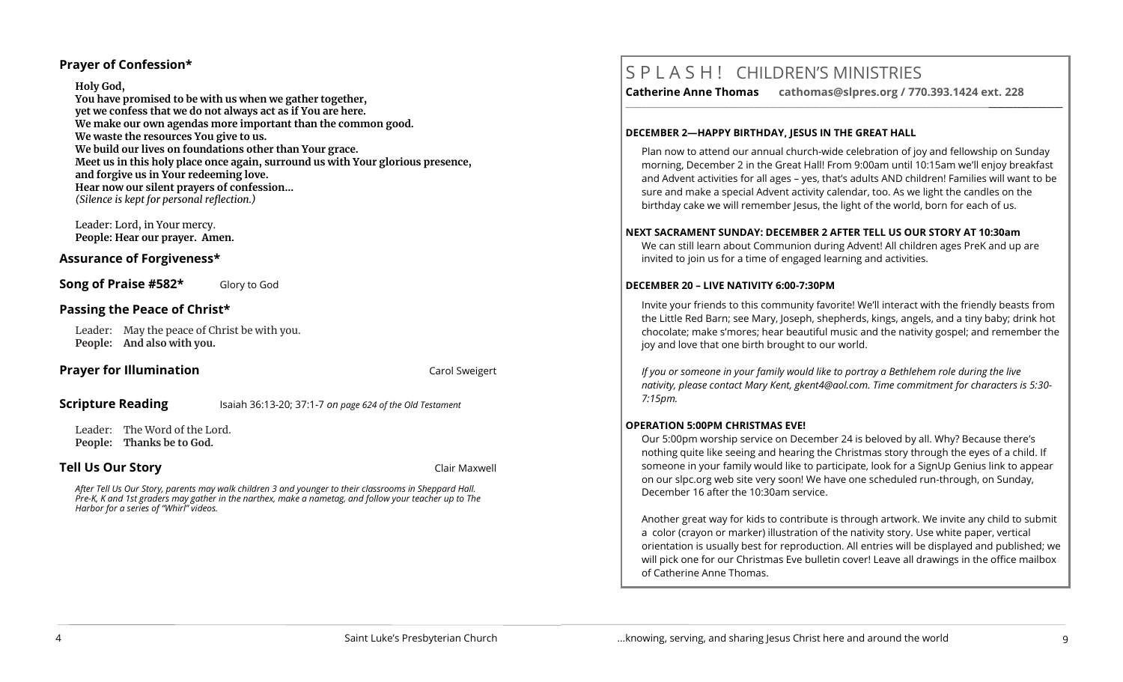#### **Prayer of Confession\***

#### **Holy God,**

**You have promised to be with us when we gather together, yet we confess that we do not always act as if You are here. We make our own agendas more important than the common good. We waste the resources You give to us. We build our lives on foundations other than Your grace. Meet us in this holy place once again, surround us with Your glorious presence, and forgive us in Your redeeming love. Hear now our silent prayers of confession…** *(Silence is kept for personal reflection.)*

Leader: Lord, in Your mercy. **People: Hear our prayer. Amen.**

#### **Assurance of Forgiveness\***

**Song of Praise #582\*** Glory to God

#### **Passing the Peace of Christ\***

Leader: May the peace of Christ be with you. **People: And also with you.** 

#### **Prayer for Illumination** Carol Sweigert

#### **Scripture Reading** Isaiah 36:13-20; 37:1-7 *on page 624 of the Old Testament*

Leader: The Word of the Lord. **People: Thanks be to God.** 

#### **Tell Us Our Story Clair Maxwell**

*After Tell Us Our Story, parents may walk children 3 and younger to their classrooms in Sheppard Hall. Pre-K, K and 1st graders may gather in the narthex, make a nametag, and follow your teacher up to The Harbor for a series of "Whirl" videos.*

# S P L A S H ! CHILDREN'S MINISTRIES

**Catherine Anne Thomas cathomas@slpres.org / 770.393.1424 ext. 228** 

#### **DECEMBER 2—HAPPY BIRTHDAY, JESUS IN THE GREAT HALL**

Plan now to attend our annual church-wide celebration of joy and fellowship on Sunday morning, December 2 in the Great Hall! From 9:00am until 10:15am we'll enjoy breakfast and Advent activities for all ages – yes, that's adults AND children! Families will want to be sure and make a special Advent activity calendar, too. As we light the candles on the birthday cake we will remember Jesus, the light of the world, born for each of us.

**\_\_\_\_\_\_\_\_\_\_\_\_\_\_\_\_\_\_\_\_\_\_\_\_\_\_\_\_\_\_\_\_\_\_\_\_\_\_\_\_\_\_\_\_\_\_\_\_\_\_\_\_\_\_\_\_\_\_\_\_\_\_\_\_\_\_\_\_\_\_\_\_\_\_\_\_\_\_\_\_\_\_\_\_\_\_\_\_\_\_\_\_\_\_\_\_\_\_\_\_\_\_\_\_\_\_** 

#### **NEXT SACRAMENT SUNDAY: DECEMBER 2 AFTER TELL US OUR STORY AT 10:30am**

We can still learn about Communion during Advent! All children ages PreK and up are invited to join us for a time of engaged learning and activities.

#### **DECEMBER 20 – LIVE NATIVITY 6:00-7:30PM**

Invite your friends to this community favorite! We'll interact with the friendly beasts from the Little Red Barn; see Mary, Joseph, shepherds, kings, angels, and a tiny baby; drink hot chocolate; make s'mores; hear beautiful music and the nativity gospel; and remember the joy and love that one birth brought to our world.

*If you or someone in your family would like to portray a Bethlehem role during the live nativity, please contact Mary Kent, [gkent4@aol.com.](mailto:gkent4@aol.com) Time commitment for characters is 5:30- 7:15pm.*

#### **OPERATION 5:00PM CHRISTMAS EVE!**

Our 5:00pm worship service on December 24 is beloved by all. Why? Because there's nothing quite like seeing and hearing the Christmas story through the eyes of a child. If someone in your family would like to participate, look for a SignUp Genius link to appear on our slpc.org web site very soon! We have one scheduled run-through, on Sunday, December 16 after the 10:30am service.

Another great way for kids to contribute is through artwork. We invite any child to submit a color (crayon or marker) illustration of the nativity story. Use white paper, vertical orientation is usually best for reproduction. All entries will be displayed and published; we will pick one for our Christmas Eve bulletin cover! Leave all drawings in the office mailbox of Catherine Anne Thomas.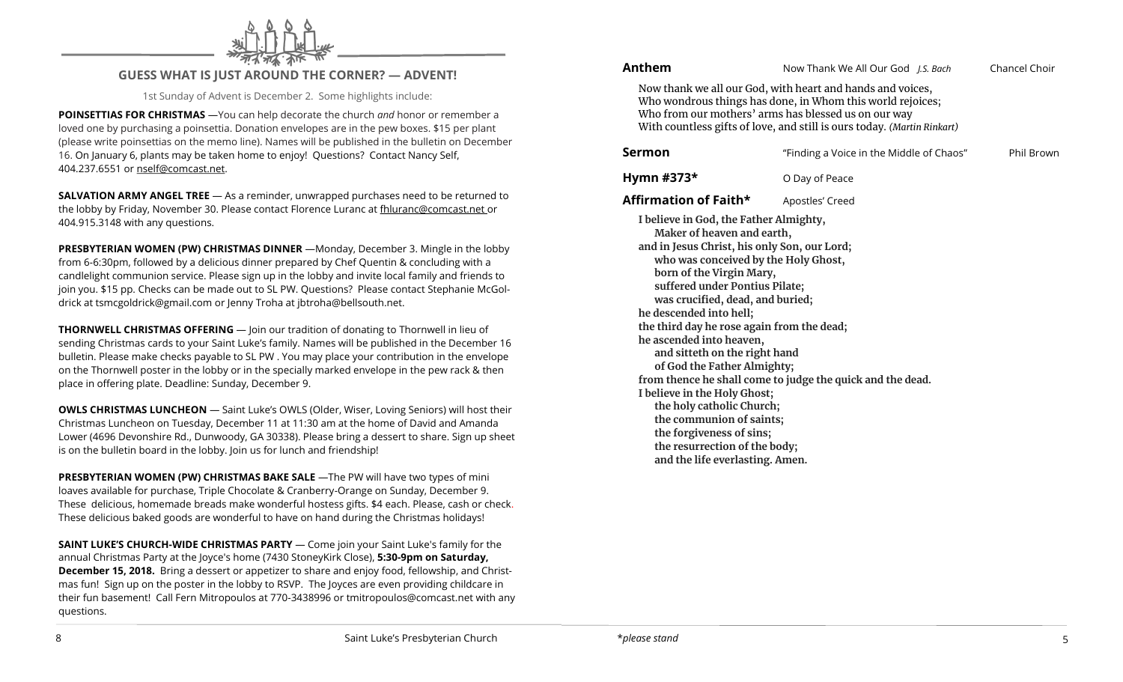

#### **GUESS WHAT IS JUST AROUND THE CORNER? — ADVENT!**

1st Sunday of Advent is December 2. Some highlights include:

**POINSETTIAS FOR CHRISTMAS** —You can help decorate the church *and* honor or remember a loved one by purchasing a poinsettia. Donation envelopes are in the pew boxes. \$15 per plant (please write poinsettias on the memo line). Names will be published in the bulletin on December 16. On January 6, plants may be taken home to enjoy! Questions? Contact Nancy Self, 404.237.6551 or nself@comcast.net.

**SALVATION ARMY ANGEL TREE** — As a reminder, unwrapped purchases need to be returned to the lobby by Friday, November 30. Please contact Florence Luranc at fhluranc@comcast.net or 404.915.3148 with any questions.

**PRESBYTERIAN WOMEN (PW) CHRISTMAS DINNER** —Monday, December 3. Mingle in the lobby from 6-6:30pm, followed by a delicious dinner prepared by Chef Quentin & concluding with a candlelight communion service. Please sign up in the lobby and invite local family and friends to join you. \$15 pp. Checks can be made out to SL PW. Questions? Please contact Stephanie McGoldrick at [tsmcgoldrick@gmail.com](mailto:tsmcgoldrick@gmail.com) or Jenny Troha at jbtroha@bellsouth.net.

**THORNWELL CHRISTMAS OFFERING** — Join our tradition of donating to Thornwell in lieu of sending Christmas cards to your Saint Luke's family. Names will be published in the December 16 bulletin. Please make checks payable to SL PW . You may place your contribution in the envelope on the Thornwell poster in the lobby or in the specially marked envelope in the pew rack & then place in offering plate. Deadline: Sunday, December 9.

**OWLS CHRISTMAS LUNCHEON** — Saint Luke's OWLS (Older, Wiser, Loving Seniors) will host their Christmas Luncheon on Tuesday, December 11 at 11:30 am at the home of David and Amanda Lower (4696 Devonshire Rd., Dunwoody, GA 30338). Please bring a dessert to share. Sign up sheet is on the bulletin board in the lobby. Join us for lunch and friendship!

**PRESBYTERIAN WOMEN (PW) CHRISTMAS BAKE SALE** —The PW will have two types of mini loaves available for purchase, Triple Chocolate & Cranberry-Orange on Sunday, December 9. These delicious, homemade breads make wonderful hostess gifts. \$4 each. Please, cash or check. These delicious baked goods are wonderful to have on hand during the Christmas holidays!

**SAINT LUKE'S CHURCH-WIDE CHRISTMAS PARTY** — Come join your Saint Luke's family for the annual Christmas Party at the Joyce's home (7430 StoneyKirk Close), **5:30-9pm on Saturday, December 15, 2018.** Bring a dessert or appetizer to share and enjoy food, fellowship, and Christmas fun! Sign up on the poster in the lobby to RSVP. The Joyces are even providing childcare in their fun basement! Call Fern Mitropoulos at 770-3438996 or [tmitropoulos@comcast.net](mailto:tmitropoulos@comcast.net) with any questions.

**Anthem** Now Thank We All Our God *J.S. Bach* Chancel Choir

Now thank we all our God, with heart and hands and voices, Who wondrous things has done, in Whom this world rejoices; Who from our mothers' arms has blessed us on our way With countless gifts of love, and still is ours today. *(Martin Rinkart)*

| Sermon                                                                                                                                                                                                                                                                                                                                                                                                                                                                                                                                                                                                                                                                                     | "Finding a Voice in the Middle of Chaos" | Phil Brown |
|--------------------------------------------------------------------------------------------------------------------------------------------------------------------------------------------------------------------------------------------------------------------------------------------------------------------------------------------------------------------------------------------------------------------------------------------------------------------------------------------------------------------------------------------------------------------------------------------------------------------------------------------------------------------------------------------|------------------------------------------|------------|
| Hymn #373 $*$                                                                                                                                                                                                                                                                                                                                                                                                                                                                                                                                                                                                                                                                              | O Day of Peace                           |            |
| Affirmation of Faith*                                                                                                                                                                                                                                                                                                                                                                                                                                                                                                                                                                                                                                                                      | Apostles' Creed                          |            |
| I believe in God, the Father Almighty,<br>Maker of heaven and earth,<br>and in Jesus Christ, his only Son, our Lord;<br>who was conceived by the Holy Ghost,<br>born of the Virgin Mary,<br>suffered under Pontius Pilate;<br>was crucified, dead, and buried;<br>he descended into hell;<br>the third day he rose again from the dead;<br>he ascended into heaven,<br>and sitteth on the right hand<br>of God the Father Almighty;<br>from thence he shall come to judge the quick and the dead.<br>I believe in the Holy Ghost;<br>the holy catholic Church;<br>the communion of saints;<br>the forgiveness of sins;<br>the resurrection of the body;<br>and the life everlasting. Amen. |                                          |            |